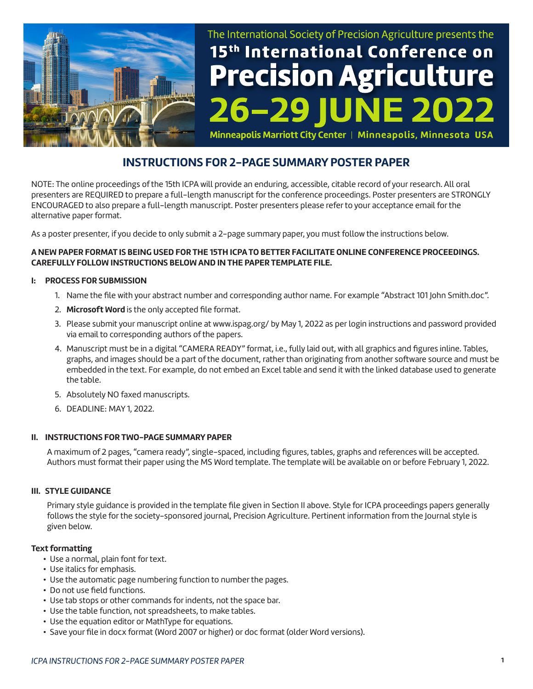

# The International Society of Precision Agriculture presents the 15<sup>th</sup> International Conference on **Precision Agriculture**  $6 - 291$ **NE 2022**

Minneapolis Marriott City Center | Minneapolis, Minnesota USA

# **INSTRUCTIONS FOR 2-PAGE SUMMARY POSTER PAPER**

NOTE: The online proceedings of the 15th ICPA will provide an enduring, accessible, citable record of your research. All oral presenters are REQUIRED to prepare a full-length manuscript for the conference proceedings. Poster presenters are STRONGLY ENCOURAGED to also prepare a full-length manuscript. Poster presenters please refer to your acceptance email for the alternative paper format.

As a poster presenter, if you decide to only submit a 2-page summary paper, you must follow the instructions below.

#### **A NEW PAPER FORMAT IS BEING USED FOR THE 15TH ICPA TO BETTER FACILITATE ONLINE CONFERENCE PROCEEDINGS. CAREFULLY FOLLOW INSTRUCTIONS BELOW AND IN THE PAPER TEMPLATE FILE.**

#### **I: PROCESS FOR SUBMISSION**

- 1. Name the file with your abstract number and corresponding author name. For example "Abstract 101 John Smith.doc".
- 2. **Microsoft Word** is the only accepted file format.
- 3. Please submit your manuscript online at www.ispag.org/ by May 1, 2022 as per login instructions and password provided via email to corresponding authors of the papers.
- 4. Manuscript must be in a digital "CAMERA READY" format, i.e., fully laid out, with all graphics and figures inline. Tables, graphs, and images should be a part of the document, rather than originating from another software source and must be embedded in the text. For example, do not embed an Excel table and send it with the linked database used to generate the table.
- 5. Absolutely NO faxed manuscripts.
- 6. DEADLINE: MAY 1, 2022.

#### **II. INSTRUCTIONS FOR TWO-PAGE SUMMARY PAPER**

A maximum of 2 pages, "camera ready", single-spaced, including figures, tables, graphs and references will be accepted. Authors must format their paper using the MS Word template. The template will be available on or before February 1, 2022.

#### **III. STYLE GUIDANCE**

Primary style guidance is provided in the template file given in Section II above. Style for ICPA proceedings papers generally follows the style for the society-sponsored journal, Precision Agriculture. Pertinent information from the Journal style is given below.

#### **Text formatting**

- Use a normal, plain font for text.
- Use italics for emphasis.
- Use the automatic page numbering function to number the pages.
- Do not use field functions.
- Use tab stops or other commands for indents, not the space bar.
- Use the table function, not spreadsheets, to make tables.
- Use the equation editor or MathType for equations.
- Save your file in docx format (Word 2007 or higher) or doc format (older Word versions).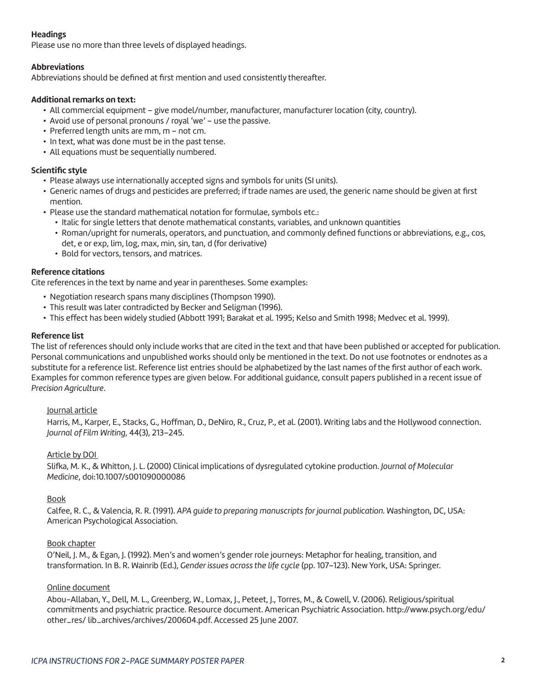# **Headings**

Please use no more than three levels of displayed headings.

#### **Abbreviations**

Abbreviations should be defined at first mention and used consistently thereafter.

#### **Additional remarks on text:**

- All commercial equipment give model/number, manufacturer, manufacturer location (city, country).
- Avoid use of personal pronouns / royal 'we' use the passive.
- Preferred length units are mm, m not cm.
- In text, what was done must be in the past tense.
- All equations must be sequentially numbered.

#### **Scientific style**

- Please always use internationally accepted signs and symbols for units (SI units).
- Generic names of drugs and pesticides are preferred; if trade names are used, the generic name should be given at first mention.
- Please use the standard mathematical notation for formulae, symbols etc.:
	- Italic for single letters that denote mathematical constants, variables, and unknown quantities
	- Roman/upright for numerals, operators, and punctuation, and commonly defined functions or abbreviations, e.g., cos, det, e or exp, lim, log, max, min, sin, tan, d (for derivative)
	- Bold for vectors, tensors, and matrices.

# **Reference citations**

Cite references in the text by name and year in parentheses. Some examples:

- Negotiation research spans many disciplines (Thompson 1990).
- This result was later contradicted by Becker and Seligman (1996).
- This effect has been widely studied (Abbott 1991; Barakat et al. 1995; Kelso and Smith 1998; Medvec et al. 1999).

# **Reference list**

The list of references should only include works that are cited in the text and that have been published or accepted for publication. Personal communications and unpublished works should only be mentioned in the text. Do not use footnotes or endnotes as a substitute for a reference list. Reference list entries should be alphabetized by the last names of the first author of each work. Examples for common reference types are given below. For additional guidance, consult papers published in a recent issue of *Precision Agriculture*.

#### Journal article

Harris, M., Karper, E., Stacks, G., Hoffman, D., DeNiro, R., Cruz, P., et al. (2001). Writing labs and the Hollywood connection. *Journal of Film Writing*, 44(3), 213–245.

# Article by DOI

Slifka, M. K., & Whitton, J. L. (2000) Clinical implications of dysregulated cytokine production. *Journal of Molecular Medicine*, doi:10.1007/s001090000086

#### Book

Calfee, R. C., & Valencia, R. R. (1991). *APA guide to preparing manuscripts for journal publication.* Washington, DC, USA: American Psychological Association.

#### Book chapter

O'Neil, J. M., & Egan, J. (1992). Men's and women's gender role journeys: Metaphor for healing, transition, and transformation. In B. R. Wainrib (Ed.), *Gender issues across the life cycle* (pp. 107–123). New York, USA: Springer.

#### Online document

Abou-Allaban, Y., Dell, M. L., Greenberg, W., Lomax, J., Peteet, J., Torres, M., & Cowell, V. (2006). Religious/spiritual commitments and psychiatric practice. Resource document. American Psychiatric Association. http://www.psych.org/edu/ other\_res/ lib\_archives/archives/200604.pdf. Accessed 25 June 2007.